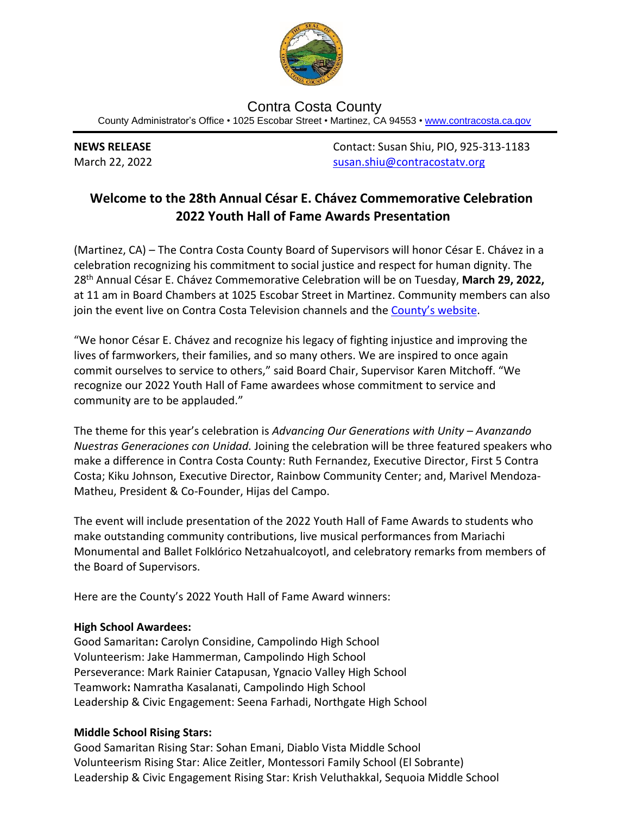

Contra Costa County County Administrator's Office • 1025 Escobar Street • Martinez, CA 94553 • [www.contracosta.ca.gov](http://www.contracosta.ca.gov/)

**NEWS RELEASE** Contact: Susan Shiu, PIO, 925-313-1183 March 22, 2022 [susan.shiu@contracostatv.org](mailto:susan.shiu@contracostatv.org)

## **Welcome to the 28th Annual César E. Chávez Commemorative Celebration 2022 Youth Hall of Fame Awards Presentation**

(Martinez, CA) – The Contra Costa County Board of Supervisors will honor César E. Chávez in a celebration recognizing his commitment to social justice and respect for human dignity. The 28th Annual César E. Chávez Commemorative Celebration will be on Tuesday, **March 29, 2022,** at 11 am in Board Chambers at 1025 Escobar Street in Martinez. Community members can also join the event live on Contra Costa Television channels and the [County's website](https://www.contracosta.ca.gov/).

"We honor César E. Chávez and recognize his legacy of fighting injustice and improving the lives of farmworkers, their families, and so many others. We are inspired to once again commit ourselves to service to others," said Board Chair, Supervisor Karen Mitchoff. "We recognize our 2022 Youth Hall of Fame awardees whose commitment to service and community are to be applauded."

The theme for this year's celebration is *Advancing Our Generations with Unity – Avanzando Nuestras Generaciones con Unidad.* Joining the celebration will be three featured speakers who make a difference in Contra Costa County: Ruth Fernandez, Executive Director, First 5 Contra Costa; Kiku Johnson, Executive Director, Rainbow Community Center; and, Marivel Mendoza-Matheu, President & Co-Founder, Hijas del Campo.

The event will include presentation of the 2022 Youth Hall of Fame Awards to students who make outstanding community contributions, live musical performances from Mariachi Monumental and Ballet Folklórico Netzahualcoyotl, and celebratory remarks from members of the Board of Supervisors.

Here are the County's 2022 Youth Hall of Fame Award winners:

## **High School Awardees:**

Good Samaritan**:** Carolyn Considine, Campolindo High School Volunteerism: Jake Hammerman, Campolindo High School Perseverance: Mark Rainier Catapusan, Ygnacio Valley High School Teamwork**:** Namratha Kasalanati, Campolindo High School Leadership & Civic Engagement: Seena Farhadi, Northgate High School

## **Middle School Rising Stars:**

Good Samaritan Rising Star: Sohan Emani, Diablo Vista Middle School Volunteerism Rising Star: Alice Zeitler, Montessori Family School (El Sobrante) Leadership & Civic Engagement Rising Star: Krish Veluthakkal, Sequoia Middle School